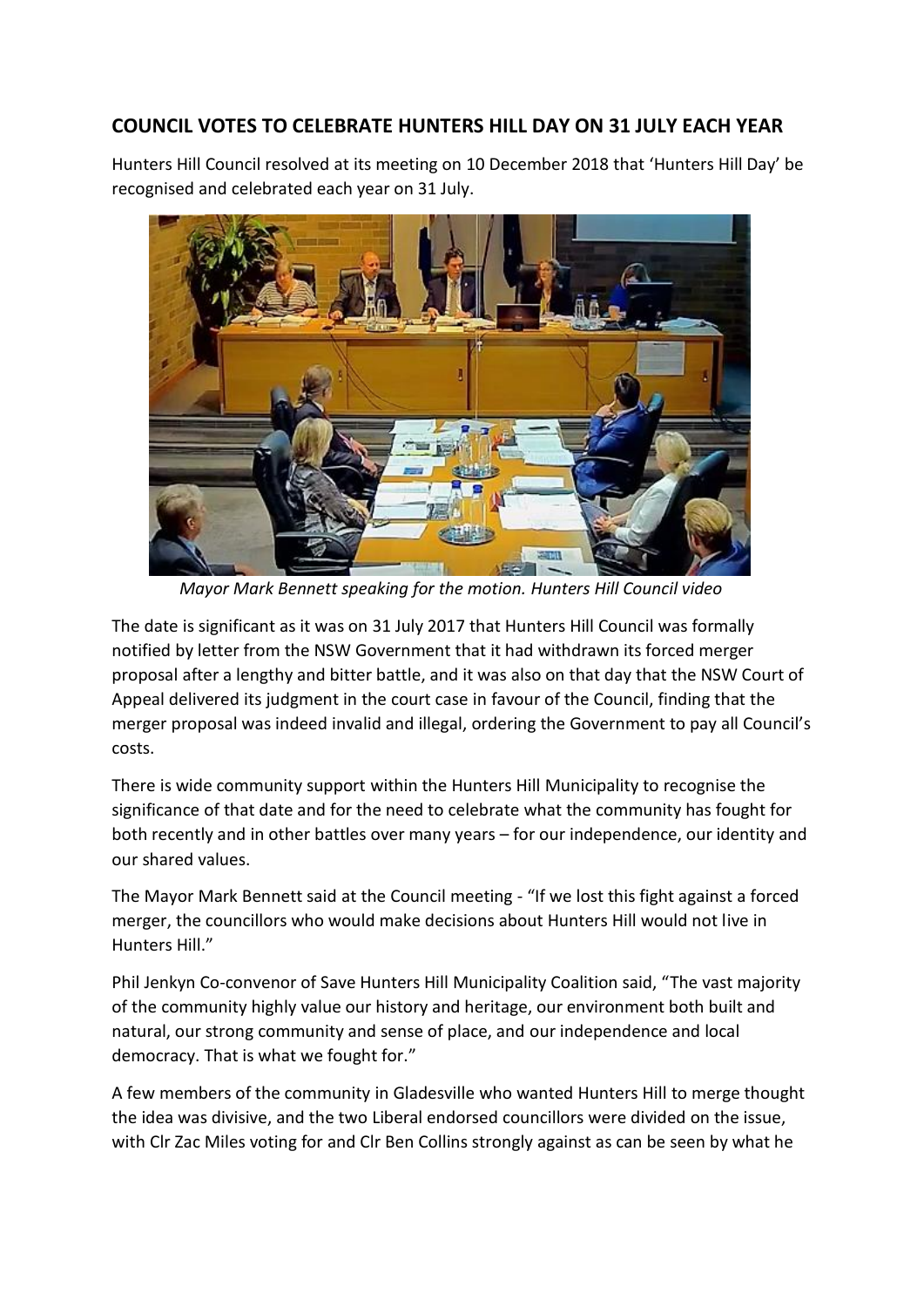## **COUNCIL VOTES TO CELEBRATE HUNTERS HILL DAY ON 31 JULY EACH YEAR**

Hunters Hill Council resolved at its meeting on 10 December 2018 that 'Hunters Hill Day' be recognised and celebrated each year on 31 July.



 *Mayor Mark Bennett speaking for the motion. Hunters Hill Council video*

The date is significant as it was on 31 July 2017 that Hunters Hill Council was formally notified by letter from the NSW Government that it had withdrawn its forced merger proposal after a lengthy and bitter battle, and it was also on that day that the NSW Court of Appeal delivered its judgment in the court case in favour of the Council, finding that the merger proposal was indeed invalid and illegal, ordering the Government to pay all Council's costs.

There is wide community support within the Hunters Hill Municipality to recognise the significance of that date and for the need to celebrate what the community has fought for both recently and in other battles over many years – for our independence, our identity and our shared values.

The Mayor Mark Bennett said at the Council meeting - "If we lost this fight against a forced merger, the councillors who would make decisions about Hunters Hill would not live in Hunters Hill."

Phil Jenkyn Co-convenor of Save Hunters Hill Municipality Coalition said, "The vast majority of the community highly value our history and heritage, our environment both built and natural, our strong community and sense of place, and our independence and local democracy. That is what we fought for."

A few members of the community in Gladesville who wanted Hunters Hill to merge thought the idea was divisive, and the two Liberal endorsed councillors were divided on the issue, with Clr Zac Miles voting for and Clr Ben Collins strongly against as can be seen by what he